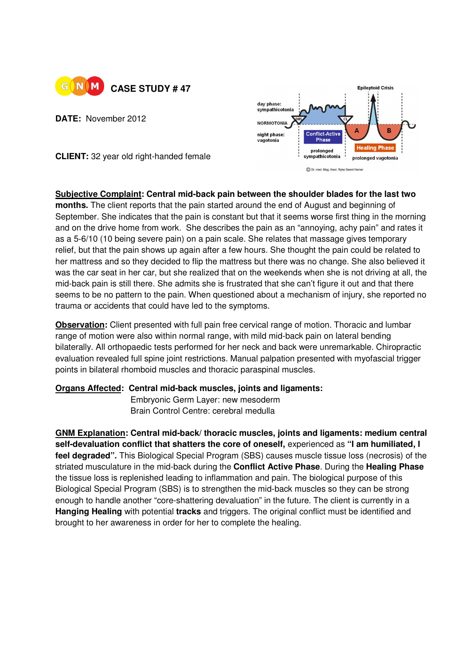

**DATE:** November 2012



**CLIENT:** 32 year old right-handed female

**Subjective Complaint: Central mid-back pain between the shoulder blades for the last two months.** The client reports that the pain started around the end of August and beginning of September. She indicates that the pain is constant but that it seems worse first thing in the morning and on the drive home from work. She describes the pain as an "annoying, achy pain" and rates it as a 5-6/10 (10 being severe pain) on a pain scale. She relates that massage gives temporary relief, but that the pain shows up again after a few hours. She thought the pain could be related to her mattress and so they decided to flip the mattress but there was no change. She also believed it was the car seat in her car, but she realized that on the weekends when she is not driving at all, the mid-back pain is still there. She admits she is frustrated that she can't figure it out and that there seems to be no pattern to the pain. When questioned about a mechanism of injury, she reported no trauma or accidents that could have led to the symptoms.

**Observation:** Client presented with full pain free cervical range of motion. Thoracic and lumbar range of motion were also within normal range, with mild mid-back pain on lateral bending bilaterally. All orthopaedic tests performed for her neck and back were unremarkable. Chiropractic evaluation revealed full spine joint restrictions. Manual palpation presented with myofascial trigger points in bilateral rhomboid muscles and thoracic paraspinal muscles.

## **Organs Affected: Central mid-back muscles, joints and ligaments:**

**Embryonic Germ Layer: new mesoderm** Brain Control Centre: cerebral medulla

**GNM Explanation: Central mid-back/ thoracic muscles, joints and ligaments: medium central self-devaluation conflict that shatters the core of oneself,** experienced as **"I am humiliated, I feel degraded".** This Biological Special Program (SBS) causes muscle tissue loss (necrosis) of the striated musculature in the mid-back during the **Conflict Active Phase**. During the **Healing Phase** the tissue loss is replenished leading to inflammation and pain. The biological purpose of this Biological Special Program (SBS) is to strengthen the mid-back muscles so they can be strong enough to handle another "core-shattering devaluation" in the future. The client is currently in a **Hanging Healing** with potential **tracks** and triggers. The original conflict must be identified and brought to her awareness in order for her to complete the healing.